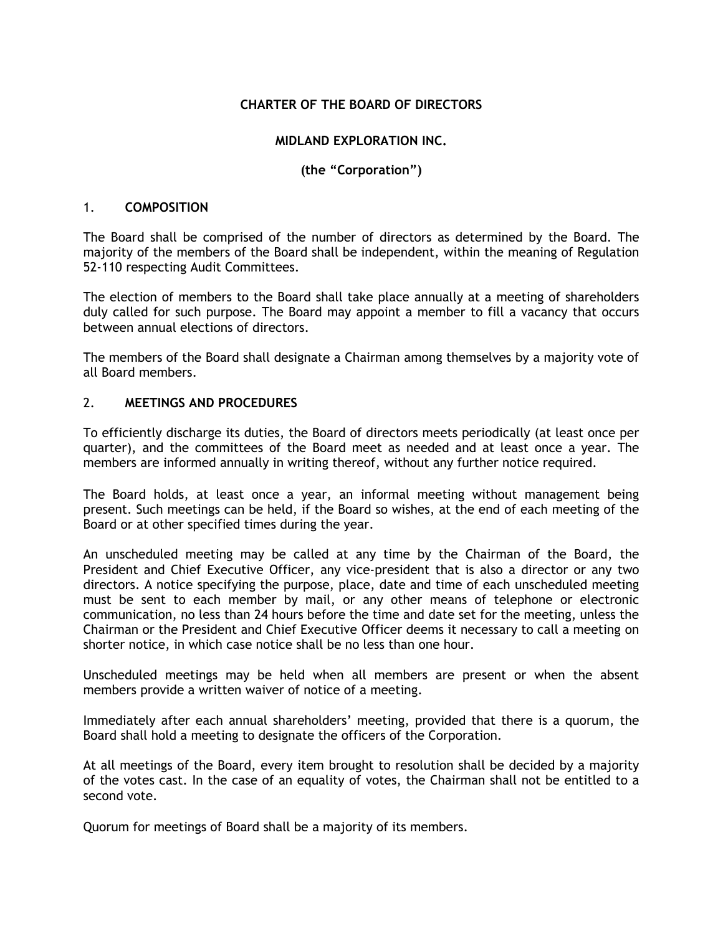# **CHARTER OF THE BOARD OF DIRECTORS**

## **MIDLAND EXPLORATION INC.**

# **(the "Corporation")**

#### 1. **COMPOSITION**

The Board shall be comprised of the number of directors as determined by the Board. The majority of the members of the Board shall be independent, within the meaning of Regulation 52-110 respecting Audit Committees.

The election of members to the Board shall take place annually at a meeting of shareholders duly called for such purpose. The Board may appoint a member to fill a vacancy that occurs between annual elections of directors.

The members of the Board shall designate a Chairman among themselves by a majority vote of all Board members.

### 2. **MEETINGS AND PROCEDURES**

To efficiently discharge its duties, the Board of directors meets periodically (at least once per quarter), and the committees of the Board meet as needed and at least once a year. The members are informed annually in writing thereof, without any further notice required.

The Board holds, at least once a year, an informal meeting without management being present. Such meetings can be held, if the Board so wishes, at the end of each meeting of the Board or at other specified times during the year.

An unscheduled meeting may be called at any time by the Chairman of the Board, the President and Chief Executive Officer, any vice-president that is also a director or any two directors. A notice specifying the purpose, place, date and time of each unscheduled meeting must be sent to each member by mail, or any other means of telephone or electronic communication, no less than 24 hours before the time and date set for the meeting, unless the Chairman or the President and Chief Executive Officer deems it necessary to call a meeting on shorter notice, in which case notice shall be no less than one hour.

Unscheduled meetings may be held when all members are present or when the absent members provide a written waiver of notice of a meeting.

Immediately after each annual shareholders' meeting, provided that there is a quorum, the Board shall hold a meeting to designate the officers of the Corporation.

At all meetings of the Board, every item brought to resolution shall be decided by a majority of the votes cast. In the case of an equality of votes, the Chairman shall not be entitled to a second vote.

Quorum for meetings of Board shall be a majority of its members.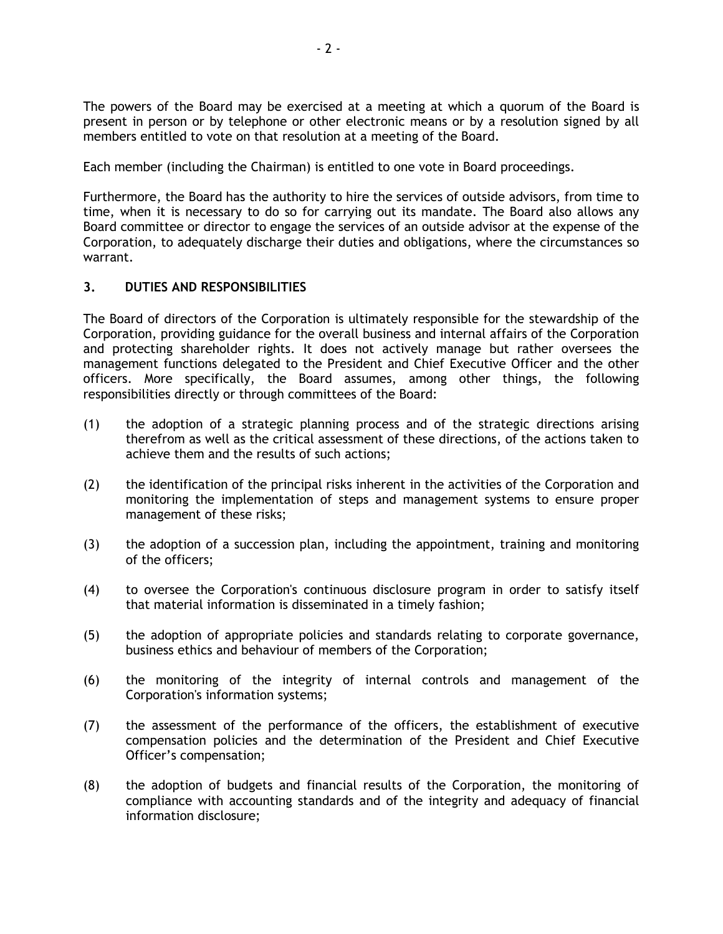The powers of the Board may be exercised at a meeting at which a quorum of the Board is present in person or by telephone or other electronic means or by a resolution signed by all members entitled to vote on that resolution at a meeting of the Board.

Each member (including the Chairman) is entitled to one vote in Board proceedings.

Furthermore, the Board has the authority to hire the services of outside advisors, from time to time, when it is necessary to do so for carrying out its mandate. The Board also allows any Board committee or director to engage the services of an outside advisor at the expense of the Corporation, to adequately discharge their duties and obligations, where the circumstances so warrant.

### **3. DUTIES AND RESPONSIBILITIES**

The Board of directors of the Corporation is ultimately responsible for the stewardship of the Corporation, providing guidance for the overall business and internal affairs of the Corporation and protecting shareholder rights. It does not actively manage but rather oversees the management functions delegated to the President and Chief Executive Officer and the other officers. More specifically, the Board assumes, among other things, the following responsibilities directly or through committees of the Board:

- (1) the adoption of a strategic planning process and of the strategic directions arising therefrom as well as the critical assessment of these directions, of the actions taken to achieve them and the results of such actions;
- (2) the identification of the principal risks inherent in the activities of the Corporation and monitoring the implementation of steps and management systems to ensure proper management of these risks;
- (3) the adoption of a succession plan, including the appointment, training and monitoring of the officers;
- (4) to oversee the Corporation's continuous disclosure program in order to satisfy itself that material information is disseminated in a timely fashion;
- (5) the adoption of appropriate policies and standards relating to corporate governance, business ethics and behaviour of members of the Corporation;
- (6) the monitoring of the integrity of internal controls and management of the Corporation's information systems;
- (7) the assessment of the performance of the officers, the establishment of executive compensation policies and the determination of the President and Chief Executive Officer's compensation;
- (8) the adoption of budgets and financial results of the Corporation, the monitoring of compliance with accounting standards and of the integrity and adequacy of financial information disclosure;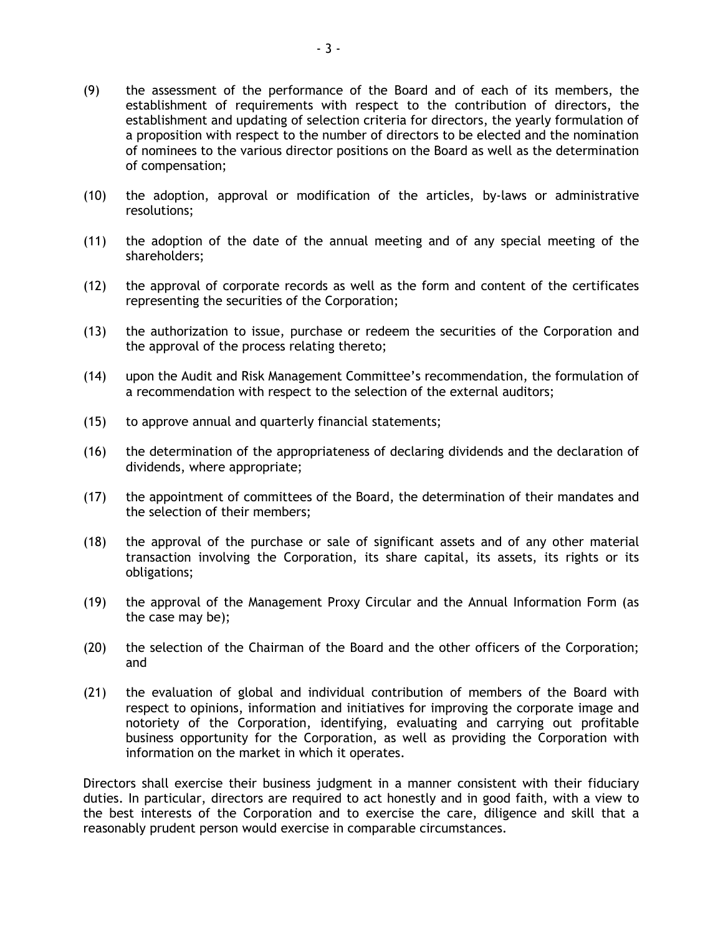- (9) the assessment of the performance of the Board and of each of its members, the establishment of requirements with respect to the contribution of directors, the establishment and updating of selection criteria for directors, the yearly formulation of a proposition with respect to the number of directors to be elected and the nomination of nominees to the various director positions on the Board as well as the determination of compensation;
- (10) the adoption, approval or modification of the articles, by-laws or administrative resolutions;
- (11) the adoption of the date of the annual meeting and of any special meeting of the shareholders;
- (12) the approval of corporate records as well as the form and content of the certificates representing the securities of the Corporation;
- (13) the authorization to issue, purchase or redeem the securities of the Corporation and the approval of the process relating thereto;
- (14) upon the Audit and Risk Management Committee's recommendation, the formulation of a recommendation with respect to the selection of the external auditors;
- (15) to approve annual and quarterly financial statements;
- (16) the determination of the appropriateness of declaring dividends and the declaration of dividends, where appropriate;
- (17) the appointment of committees of the Board, the determination of their mandates and the selection of their members;
- (18) the approval of the purchase or sale of significant assets and of any other material transaction involving the Corporation, its share capital, its assets, its rights or its obligations;
- (19) the approval of the Management Proxy Circular and the Annual Information Form (as the case may be);
- (20) the selection of the Chairman of the Board and the other officers of the Corporation; and
- (21) the evaluation of global and individual contribution of members of the Board with respect to opinions, information and initiatives for improving the corporate image and notoriety of the Corporation, identifying, evaluating and carrying out profitable business opportunity for the Corporation, as well as providing the Corporation with information on the market in which it operates.

Directors shall exercise their business judgment in a manner consistent with their fiduciary duties. In particular, directors are required to act honestly and in good faith, with a view to the best interests of the Corporation and to exercise the care, diligence and skill that a reasonably prudent person would exercise in comparable circumstances.